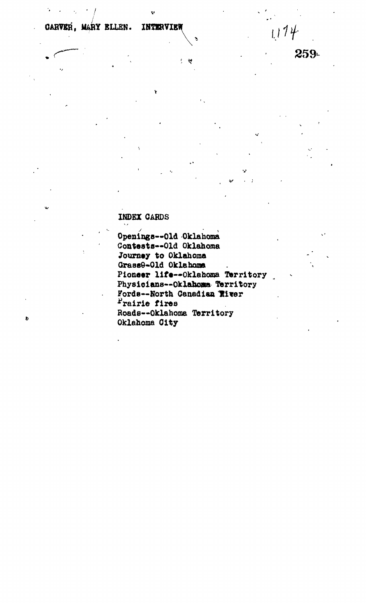INTERVIEW CARVER. MARY ELLEN.

259

 $1114$ 

## **INDEX CARDS**

ð

Openings--Old Oklahoma Contests--Old Oklahoma Journey to Oklahoma Grass9-Old Oklahoma Pioneer life--Oklahoma Territory Physicians--Oklahoma Territory Fords--North Canadian River Prairie fires Roads--Oklahoma Territory Oklahoma City

 $\frac{1}{2}$ ড়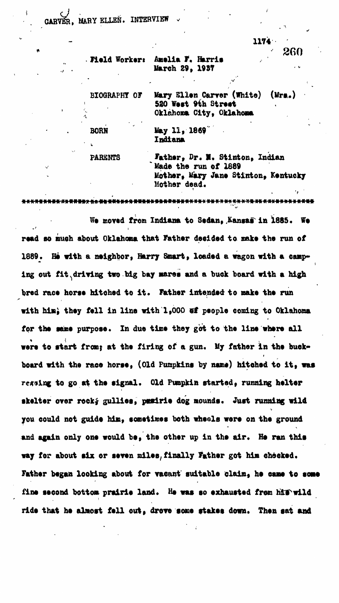**MARY ELLEN. INTERVIEW** 

**1174**

|  | . Field Worker: Amelia F. Harris |  |
|--|----------------------------------|--|
|  | March 29, 1937                   |  |
|  |                                  |  |

BIOGRAPHY OF Mary Ellen Carver (White) (Mrs..) **520 Vest 9^h 8treet ; Oklahoma, City, Oklahoma**

**BORN May II , 186?° Indiana**

**PARSNTS Father , Dr. II, Stinton , Indian \* Made the run of 1889** Mother, Mary Jane Stinton, Kentucky **Mother dead.**

We moved from Indiana to Sedan, Kansas in 1885. We read so much about Oklahoma that Father decided to make the run of 1889. He with a neighbor, Harry Smart, loaded a wagon with a camping out fit driving two big bay mares and a buck board with a high bred race horse hitched to it. Father intended to make the run with him; they fell in line with 1,000 ef people coming to Oklahoma for the same purpose. In due time they got to the line where all were to start from; at the firing of a gun. My father in the buckboard with the race horse, (Old Pumpkins by name) hitched to it, was regsing to go at the signal. Old Pumpkin started, running helter skelter over rock; gullies, pusirie dog mounds. Just running wild **you could not guide him, sometimes both wheels were on the ground** and again only one would be, the other up in the air. He ran this way for about six or seven miles, finally Father got him checked. Father began looking about for vacant suitable claim, he came to some fine second bottom prairie land. He was so exhausted from him wild ride that he almost fell out, drove some stakes down. Then sat and

260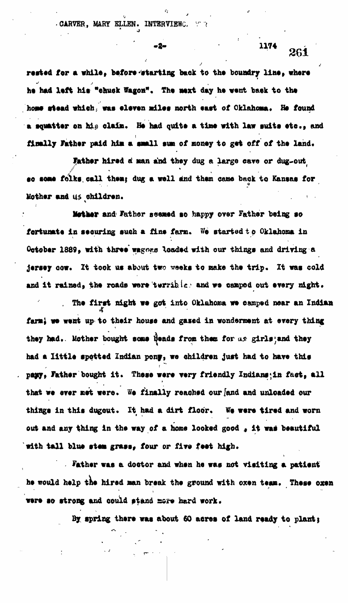. CARVER, MARY ELLEN. INTERVIEWC.

rested for a while, before *etarting* back to the boundry line, where **he had left his "chuck Wagon". The next day he went bask to the hops stead which; was eleven adlee north east ot Oklahoma, fit found** a squatter on his claim. He had quite a time with law suits etc., and finally **Father** paid him a small sum of money to get off of the land.

**' ' '\*" -••• 26 1**

1174

**Father hired a man and they dug a large cave or dug-out so some folks, call them} dug a well and them came back to Kansas for Mother and US children. .**

**Mother and fkthor seemed so happy over Father being so fortunate in securing ouch a fine farm. We started t o Oklahoma in** October 1889, with three wagons loaded with our things and driving a **jersey cow. It took us about two ^eoks to make the trip. It was cold** and it rained, the roads were terrible. and we camped out every night.

**. The first night we got into Oklahoma we camped near an Indian** farm; we went up to their house and gased in wonderment at every thing **they had\*, liother bought SOBS \$tadt from them for a» girls)and they** had a little spotted Indian pony, we children just had to have this **pawy, father bought it. These were very friendly Indians;in fact, all that we over met wore. We finally reached our [and and unloaded our things in this dugout. It had a dirt floor. We were tired and worn** out and any thing in the way of a home looked good , it was beautiful with tall blue stem grass, four or five feet high.

**Father was a doctor and when he was not visiting a patient** he would help the hired man break the ground with oxen team. These oxen **were so strong and could stand more hard work.** 

**By spring there was about 60 acres of land ready to plant j**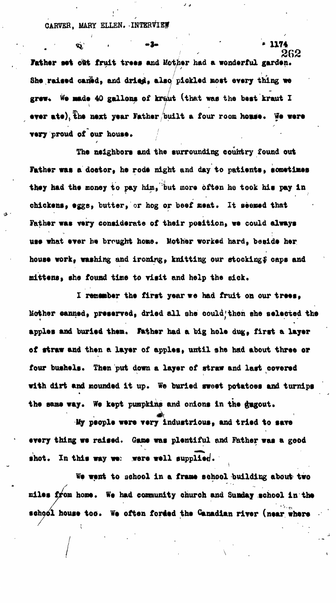**CARVER, MARY ELLEN. INTERVIEW**

**«i . -3- "• 1174** 262 Father set out fruit trees and Mother had a wonderful garden. She raised caned, and dried, also pickled most every thing we grew. We made 40 gallons of kraut (that was the best kraut I ever ate), the next year Father built a four room homse. We were **very proud of our house.**

**The neighbors and the surrounding country found out** Father was a dostor, he rode night and day to patients, sometimes they had the money to pay him, but more often he took his pay in chickens, eggs, butter, or hog or beef meat. It seemed that Father was very considerate of their position, we could always use what ever he brought home. Mother worked hard, beside her house work, washing and ironing, knitting our stocking\$ caps and **mittens, she found time to visit and help the eick,**

I remember the first year we had fruit on our trees, **Mother canned, preserved, dried all she could;thon she selected the** apples and buried them. Father had a big hole dug, first a layer of straw and then a layer of apples, until she had about three or **four bushels. Then put down a layer of straw and last covered with dirt and mounded it up. We buried sweet potatoes and turnips** the same way. We kept pumpkins and onions in the dugout.

**Uy people were very Industrious, and tried to save every thing we raised. Game was plentiful and Father was a good** shot. In this way we: were well supplied.

**We went to school in a frame school building about<sup>1</sup> two miles from home. We had community church and Sunday school in the school house too. We often forded the Canadian river (near where**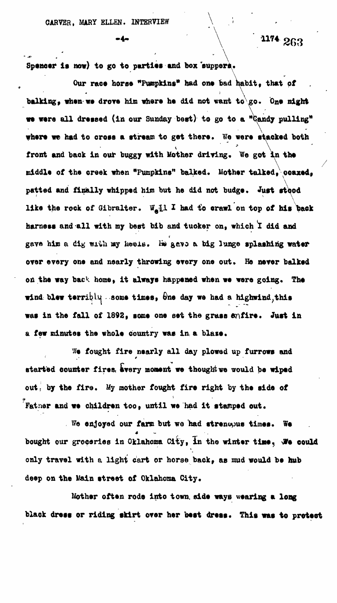Spencer is now) to go to parties and box suppers.

Our race horse "Pumpkins" had one bad habit, that of balking, when we drove him where he did not want to go. One night **be were all dressed (in our Sunday best) to go to a "Candy pulling"** where we had to cross a stream to get there. We were stacked both front and back in our buggy with Mother driving. We got in the middle of the creek when "Pumpkins" balked. Mother talked, coaxed, patted and finally whipped him but he did not budge. Just stood like the rock of Gibralter. W<sub>a</sub>ll I had to crawl on top of his back harness and all with my best bib and tucker on, which I did and gave him a dig with my heels. He gave a big lunge splashing water over every one and nearly throwing every one out. He never balked on the way back home, it always happened when we were going. The wind blew terribly some times, **fine day** we had a highwind, this was in the fall of 1892, some one set the grass enfire. Just in a few minutes the whole country was in a blaze.

We fought fire mearly all day plowed up furrows and started counter fires, every moment we thought we would be wiped out, by the fire. My mother fought fire right by the side of  $\tilde{f}$  **Father and we children too, until we had it stamped out.** 

**Fo enjoyed our farm but we had strencous times. We** bought our groceries in Oklahoma City, in the winter time, We could only travel with a light cart or horse back, as mud would be hub **only travel with a light cart or horse back, as mud would be hub**

**Kother often rode into town, side ways wearing a long black dress or riding skirt over her best dress. This was to protect**